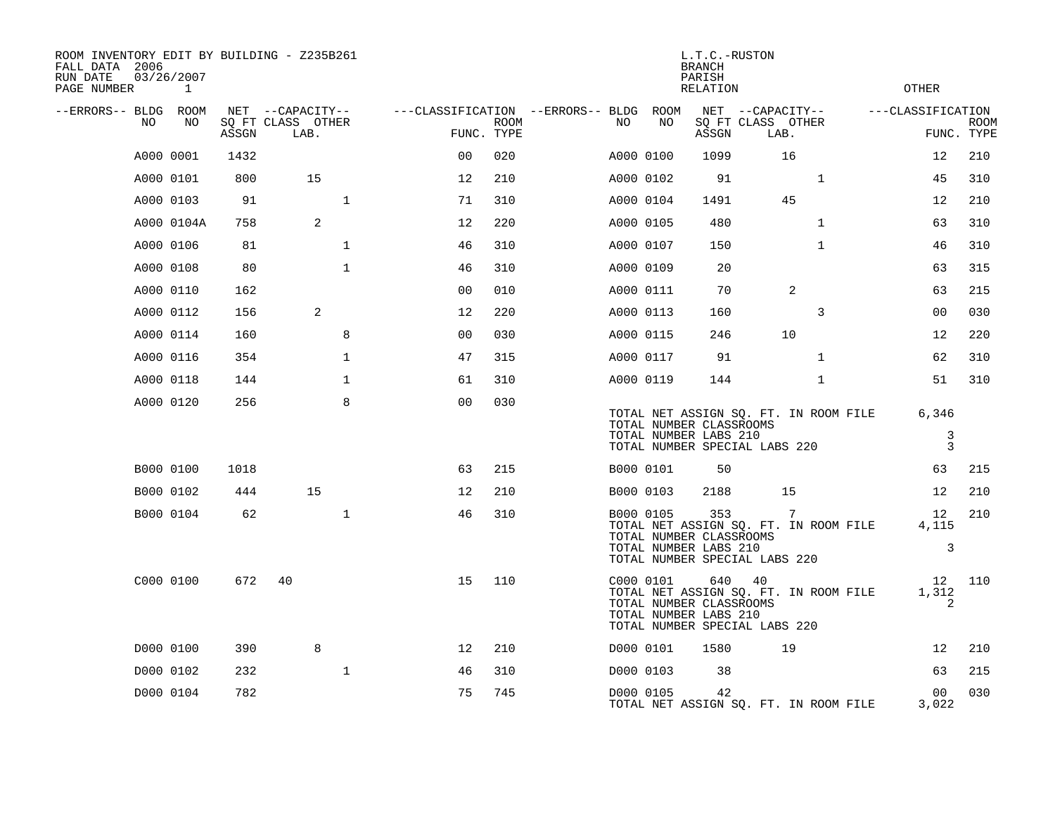| ROOM INVENTORY EDIT BY BUILDING - Z235B261<br>FALL DATA 2006<br>RUN DATE<br>PAGE NUMBER |           | 03/26/2007<br>$\mathbf{1}$ |       |                                               |              |                                                      |             |           |           | L.T.C.-RUSTON<br><b>BRANCH</b><br>PARISH<br><b>RELATION</b>                              |                                               |              |                                       | <b>OTHER</b>                 |                           |
|-----------------------------------------------------------------------------------------|-----------|----------------------------|-------|-----------------------------------------------|--------------|------------------------------------------------------|-------------|-----------|-----------|------------------------------------------------------------------------------------------|-----------------------------------------------|--------------|---------------------------------------|------------------------------|---------------------------|
| --ERRORS-- BLDG ROOM<br>NO                                                              |           | NO                         | ASSGN | NET --CAPACITY--<br>SQ FT CLASS OTHER<br>LAB. |              | ---CLASSIFICATION --ERRORS-- BLDG ROOM<br>FUNC. TYPE | <b>ROOM</b> | NO.       | NO        | ASSGN                                                                                    | NET --CAPACITY--<br>SQ FT CLASS OTHER<br>LAB. |              |                                       | ---CLASSIFICATION            | <b>ROOM</b><br>FUNC. TYPE |
|                                                                                         | A000 0001 |                            | 1432  |                                               |              | 0 <sup>0</sup>                                       | 020         | A000 0100 |           | 1099                                                                                     |                                               | 16           |                                       | 12                           | 210                       |
|                                                                                         | A000 0101 |                            | 800   | 15                                            |              | 12                                                   | 210         | A000 0102 |           | 91                                                                                       |                                               | $\mathbf{1}$ |                                       | 45                           | 310                       |
|                                                                                         | A000 0103 |                            | 91    |                                               | $\mathbf{1}$ | 71                                                   | 310         | A000 0104 |           | 1491                                                                                     |                                               | 45           |                                       | 12                           | 210                       |
|                                                                                         |           | A000 0104A                 | 758   | 2                                             |              | 12                                                   | 220         | A000 0105 |           | 480                                                                                      |                                               | $\mathbf{1}$ |                                       | 63                           | 310                       |
|                                                                                         | A000 0106 |                            | 81    |                                               | $\mathbf 1$  | 46                                                   | 310         | A000 0107 |           | 150                                                                                      |                                               | $\mathbf{1}$ |                                       | 46                           | 310                       |
|                                                                                         | A000 0108 |                            | 80    |                                               | $\mathbf{1}$ | 46                                                   | 310         | A000 0109 |           | 20                                                                                       |                                               |              |                                       | 63                           | 315                       |
|                                                                                         | A000 0110 |                            | 162   |                                               |              | 0 <sub>0</sub>                                       | 010         | A000 0111 |           | 70                                                                                       |                                               | 2            |                                       | 63                           | 215                       |
|                                                                                         | A000 0112 |                            | 156   | 2                                             |              | 12                                                   | 220         |           | A000 0113 | 160                                                                                      |                                               | 3            |                                       | 0 <sub>0</sub>               | 030                       |
|                                                                                         | A000 0114 |                            | 160   |                                               | 8            | 0 <sub>0</sub>                                       | 030         | A000 0115 |           | 246                                                                                      |                                               | 10           |                                       | 12                           | 220                       |
|                                                                                         | A000 0116 |                            | 354   |                                               | $\mathbf{1}$ | 47                                                   | 315         |           | A000 0117 | 91                                                                                       |                                               | $\mathbf{1}$ |                                       | 62                           | 310                       |
|                                                                                         | A000 0118 |                            | 144   |                                               | $\mathbf 1$  | 61                                                   | 310         | A000 0119 |           | 144                                                                                      |                                               | $\mathbf{1}$ |                                       | 51                           | 310                       |
|                                                                                         | A000 0120 |                            | 256   |                                               | 8            | 0 <sub>0</sub>                                       | 030         |           |           | TOTAL NUMBER CLASSROOMS<br>TOTAL NUMBER LABS 210<br>TOTAL NUMBER SPECIAL LABS 220        |                                               |              | TOTAL NET ASSIGN SQ. FT. IN ROOM FILE | 6,346<br>3<br>$\overline{3}$ |                           |
|                                                                                         | B000 0100 |                            | 1018  |                                               |              | 63                                                   | 215         | B000 0101 |           | 50                                                                                       |                                               |              |                                       | 63                           | 215                       |
|                                                                                         | B000 0102 |                            | 444   | 15                                            |              | 12                                                   | 210         |           | B000 0103 | 2188                                                                                     |                                               | 15           |                                       | 12                           | 210                       |
|                                                                                         | B000 0104 |                            | 62    |                                               | $\mathbf{1}$ | 46                                                   | 310         |           | B000 0105 | 353<br>TOTAL NUMBER CLASSROOMS<br>TOTAL NUMBER LABS 210<br>TOTAL NUMBER SPECIAL LABS 220 |                                               | 7            | TOTAL NET ASSIGN SQ. FT. IN ROOM FILE | 12<br>4,115<br>3             | 210                       |
|                                                                                         | C000 0100 |                            | 672   | 40                                            |              | 15                                                   | 110         |           | C000 0101 | TOTAL NUMBER CLASSROOMS<br>TOTAL NUMBER LABS 210<br>TOTAL NUMBER SPECIAL LABS 220        | 640 40                                        |              | TOTAL NET ASSIGN SQ. FT. IN ROOM FILE | 12<br>1,312<br>2             | 110                       |
|                                                                                         | D000 0100 |                            | 390   | 8                                             |              | 12                                                   | 210         |           | D000 0101 | 1580                                                                                     |                                               | 19           |                                       | 12                           | 210                       |
|                                                                                         | D000 0102 |                            | 232   |                                               | $\mathbf 1$  | 46                                                   | 310         |           | D000 0103 | 38                                                                                       |                                               |              |                                       | 63                           | 215                       |
|                                                                                         | D000 0104 |                            | 782   |                                               |              | 75                                                   | 745         |           | D000 0105 | 42                                                                                       |                                               |              | TOTAL NET ASSIGN SQ. FT. IN ROOM FILE | 00<br>3,022                  | 030                       |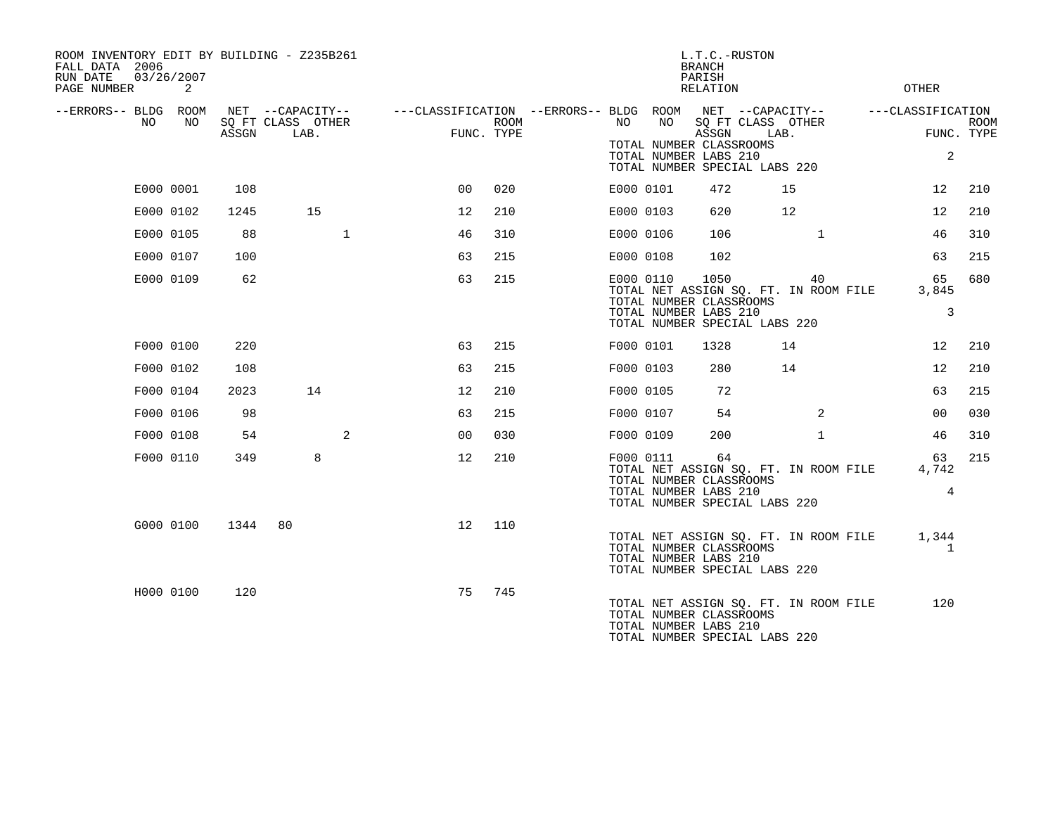| ROOM INVENTORY EDIT BY BUILDING - Z235B261<br>FALL DATA 2006<br>RUN DATE<br>PAGE NUMBER | 03/26/2007<br>2 |       |                                               |                                        |                    |           |           | L.T.C.-RUSTON<br><b>BRANCH</b><br>PARISH<br>RELATION      |                                                                                | <b>OTHER</b>                         |             |
|-----------------------------------------------------------------------------------------|-----------------|-------|-----------------------------------------------|----------------------------------------|--------------------|-----------|-----------|-----------------------------------------------------------|--------------------------------------------------------------------------------|--------------------------------------|-------------|
| --ERRORS-- BLDG ROOM<br>NO.                                                             | NO.             | ASSGN | NET --CAPACITY--<br>SQ FT CLASS OTHER<br>LAB. | ---CLASSIFICATION --ERRORS-- BLDG ROOM | ROOM<br>FUNC. TYPE | NO.       | NO        | ASSGN<br>TOTAL NUMBER CLASSROOMS<br>TOTAL NUMBER LABS 210 | NET --CAPACITY--<br>SQ FT CLASS OTHER<br>LAB.<br>TOTAL NUMBER SPECIAL LABS 220 | ---CLASSIFICATION<br>FUNC. TYPE<br>2 | <b>ROOM</b> |
| E000 0001                                                                               |                 | 108   |                                               | 0 <sub>0</sub>                         | 020                | E000 0101 |           | 472                                                       | 15                                                                             | 12                                   | 210         |
| E000 0102                                                                               |                 | 1245  | 15                                            | $12 \overline{ }$                      | 210                | E000 0103 |           | 620                                                       | 12                                                                             | 12                                   | 210         |
| E000 0105                                                                               |                 | 88    | $\mathbf{1}$                                  | 46                                     | 310                |           | E000 0106 | 106                                                       | $\mathbf{1}$                                                                   | 46                                   | 310         |
| E000 0107                                                                               |                 | 100   |                                               | 63                                     | 215                | E000 0108 |           | 102                                                       |                                                                                | 63                                   | 215         |
| E000 0109                                                                               |                 | 62    |                                               | 63                                     | 215                | E000 0110 |           | 1050<br>TOTAL NUMBER CLASSROOMS<br>TOTAL NUMBER LABS 210  | 40<br>TOTAL NET ASSIGN SQ. FT. IN ROOM FILE<br>TOTAL NUMBER SPECIAL LABS 220   | 65<br>3,845<br>3                     | 680         |
| F000 0100                                                                               |                 | 220   |                                               | 63                                     | 215                | F000 0101 |           | 1328                                                      | 14                                                                             | 12                                   | 210         |
| F000 0102                                                                               |                 | 108   |                                               | 63                                     | 215                | F000 0103 |           | 280                                                       | 14                                                                             | 12                                   | 210         |
| F000 0104                                                                               |                 | 2023  | 14                                            | 12                                     | 210                | F000 0105 |           | 72                                                        |                                                                                | 63                                   | 215         |
| F000 0106                                                                               |                 | 98    |                                               | 63                                     | 215                | F000 0107 |           | 54                                                        | $\overline{2}$                                                                 | 00                                   | 030         |
| F000 0108                                                                               |                 | 54    | 2                                             | 0 <sub>0</sub>                         | 030                | F000 0109 |           | 200                                                       | $\mathbf{1}$                                                                   | 46                                   | 310         |
| F000 0110                                                                               |                 | 349   | 8                                             | 12                                     | 210                |           | F000 0111 | 64<br>TOTAL NUMBER CLASSROOMS<br>TOTAL NUMBER LABS 210    | TOTAL NET ASSIGN SQ. FT. IN ROOM FILE<br>TOTAL NUMBER SPECIAL LABS 220         | 63<br>4,742<br>$\overline{4}$        | 215         |
| G000 0100                                                                               |                 | 1344  | 80                                            | 12                                     | 110                |           |           | TOTAL NUMBER CLASSROOMS<br>TOTAL NUMBER LABS 210          | TOTAL NET ASSIGN SQ. FT. IN ROOM FILE<br>TOTAL NUMBER SPECIAL LABS 220         | 1,344<br>$\mathbf{1}$                |             |
| H000 0100                                                                               |                 | 120   |                                               | 75                                     | 745                |           |           | TOTAL NUMBER CLASSROOMS<br>TOTAL NUMBER LABS 210          | TOTAL NET ASSIGN SQ. FT. IN ROOM FILE<br>TOTAL NUMBER SPECIAL LABS 220         | 120                                  |             |